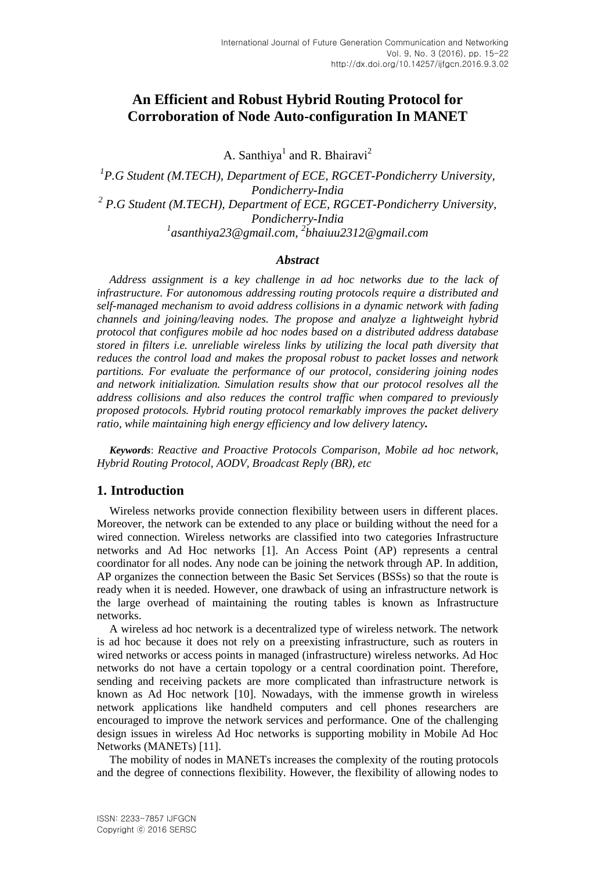# **An Efficient and Robust Hybrid Routing Protocol for Corroboration of Node Auto-configuration In MANET**

A. Santhiya<sup>1</sup> and R. Bhairavi<sup>2</sup>

<sup>1</sup> P.G Student (M.TECH), Department of ECE, RGCET-Pondicherry University, *Pondicherry-India 2 P.G Student (M.TECH), Department of ECE, RGCET-Pondicherry University, Pondicherry-India 1 [asanthiya23@gmail.com,](mailto:1asanthiya23@gmail.com) 2 bhaiuu2312@gmail.com*

#### *Abstract*

*Address assignment is a key challenge in ad hoc networks due to the lack of infrastructure. For autonomous addressing routing protocols require a distributed and self-managed mechanism to avoid address collisions in a dynamic network with fading channels and joining/leaving nodes. The propose and analyze a lightweight hybrid protocol that configures mobile ad hoc nodes based on a distributed address database stored in filters i.e. unreliable wireless links by utilizing the local path diversity that reduces the control load and makes the proposal robust to packet losses and network partitions. For evaluate the performance of our protocol, considering joining nodes and network initialization. Simulation results show that our protocol resolves all the address collisions and also reduces the control traffic when compared to previously proposed protocols. Hybrid routing protocol remarkably improves the packet delivery ratio, while maintaining high energy efficiency and low delivery latency.*

*Keywords*: *Reactive and Proactive Protocols Comparison, Mobile ad hoc network, Hybrid Routing Protocol, AODV, Broadcast Reply (BR), etc*

# **1. Introduction**

Wireless networks provide connection flexibility between users in different places. Moreover, the network can be extended to any place or building without the need for a wired connection. Wireless networks are classified into two categories Infrastructure networks and Ad Hoc networks [1]. An Access Point (AP) represents a central coordinator for all nodes. Any node can be joining the network through AP. In addition, AP organizes the connection between the Basic Set Services (BSSs) so that the route is ready when it is needed. However, one drawback of using an infrastructure network is the large overhead of maintaining the routing tables is known as Infrastructure networks.

A wireless ad hoc network is a decentralized type of wireless network. The network is ad hoc because it does not rely on a preexisting infrastructure, such as routers in wired networks or access points in managed (infrastructure) wireless networks. Ad Hoc networks do not have a certain topology or a central coordination point. Therefore, sending and receiving packets are more complicated than infrastructure network is known as Ad Hoc network [10]. Nowadays, with the immense growth in wireless network applications like handheld computers and cell phones researchers are encouraged to improve the network services and performance. One of the challenging design issues in wireless Ad Hoc networks is supporting mobility in Mobile Ad Hoc Networks (MANETs) [11].

The mobility of nodes in MANETs increases the complexity of the routing protocols and the degree of connections flexibility. However, the flexibility of allowing nodes to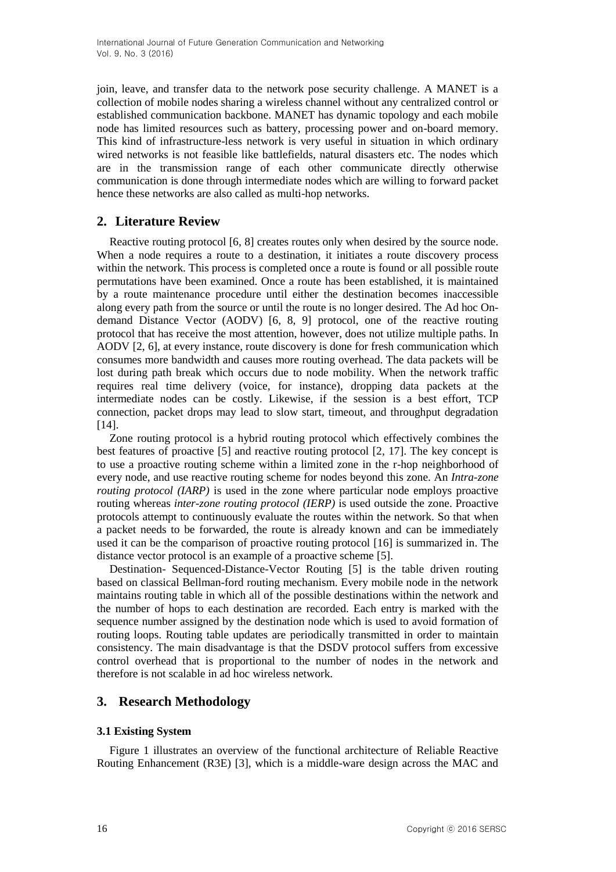join, leave, and transfer data to the network pose security challenge. A MANET is a collection of mobile nodes sharing a wireless channel without any centralized control or established communication backbone. MANET has dynamic topology and each mobile node has limited resources such as battery, processing power and on-board memory. This kind of infrastructure-less network is very useful in situation in which ordinary wired networks is not feasible like battlefields, natural disasters etc. The nodes which are in the transmission range of each other communicate directly otherwise communication is done through intermediate nodes which are willing to forward packet hence these networks are also called as multi-hop networks.

# **2. Literature Review**

Reactive routing protocol [6, 8] creates routes only when desired by the source node. When a node requires a route to a destination, it initiates a route discovery process within the network. This process is completed once a route is found or all possible route permutations have been examined. Once a route has been established, it is maintained by a route maintenance procedure until either the destination becomes inaccessible along every path from the source or until the route is no longer desired. The Ad hoc Ondemand Distance Vector (AODV) [6, 8, 9] protocol, one of the reactive routing protocol that has receive the most attention, however, does not utilize multiple paths. In AODV [2, 6], at every instance, route discovery is done for fresh communication which consumes more bandwidth and causes more routing overhead. The data packets will be lost during path break which occurs due to node mobility. When the network traffic requires real time delivery (voice, for instance), dropping data packets at the intermediate nodes can be costly. Likewise, if the session is a best effort, TCP connection, packet drops may lead to slow start, timeout, and throughput degradation [14].

Zone routing protocol is a hybrid routing protocol which effectively combines the best features of proactive [5] and reactive routing protocol [2, 17]. The key concept is to use a proactive routing scheme within a limited zone in the r-hop neighborhood of every node, and use reactive routing scheme for nodes beyond this zone. An *Intra-zone routing protocol (IARP)* is used in the zone where particular node employs proactive routing whereas *inter-zone routing protocol (IERP)* is used outside the zone. Proactive protocols attempt to continuously evaluate the routes within the network. So that when a packet needs to be forwarded, the route is already known and can be immediately used it can be the comparison of proactive routing protocol [16] is summarized in. The distance vector protocol is an example of a proactive scheme [5].

Destination- Sequenced-Distance-Vector Routing [5] is the table driven routing based on classical Bellman-ford routing mechanism. Every mobile node in the network maintains routing table in which all of the possible destinations within the network and the number of hops to each destination are recorded. Each entry is marked with the sequence number assigned by the destination node which is used to avoid formation of routing loops. Routing table updates are periodically transmitted in order to maintain consistency. The main disadvantage is that the DSDV protocol suffers from excessive control overhead that is proportional to the number of nodes in the network and therefore is not scalable in ad hoc wireless network.

# **3. Research Methodology**

# **3.1 Existing System**

Figure 1 illustrates an overview of the functional architecture of Reliable Reactive Routing Enhancement (R3E) [3], which is a middle-ware design across the MAC and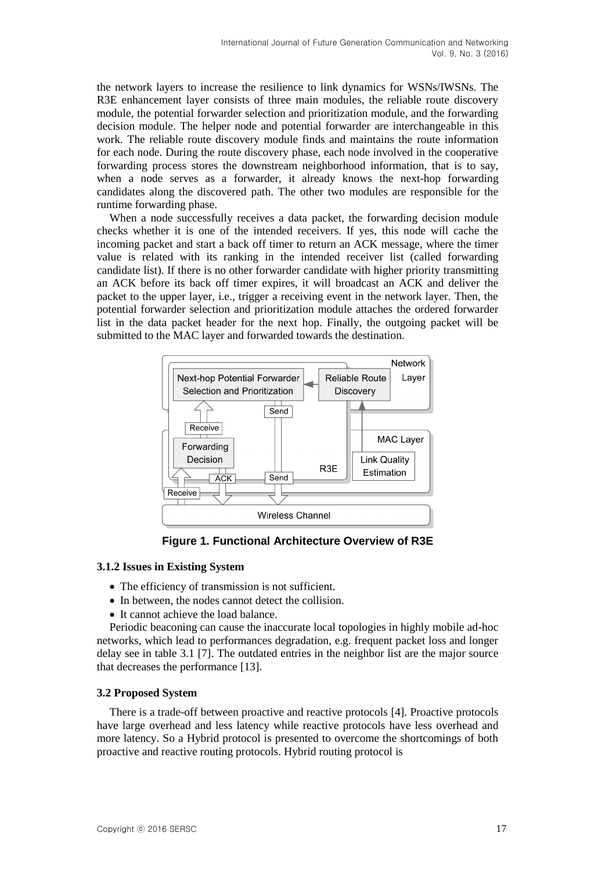the network layers to increase the resilience to link dynamics for WSNs/IWSNs. The R3E enhancement layer consists of three main modules, the reliable route discovery module, the potential forwarder selection and prioritization module, and the forwarding decision module. The helper node and potential forwarder are interchangeable in this work. The reliable route discovery module finds and maintains the route information for each node. During the route discovery phase, each node involved in the cooperative forwarding process stores the downstream neighborhood information, that is to say, when a node serves as a forwarder, it already knows the next-hop forwarding candidates along the discovered path. The other two modules are responsible for the runtime forwarding phase.

When a node successfully receives a data packet, the forwarding decision module checks whether it is one of the intended receivers. If yes, this node will cache the incoming packet and start a back off timer to return an ACK message, where the timer value is related with its ranking in the intended receiver list (called forwarding candidate list). If there is no other forwarder candidate with higher priority transmitting an ACK before its back off timer expires, it will broadcast an ACK and deliver the packet to the upper layer, i.e., trigger a receiving event in the network layer. Then, the potential forwarder selection and prioritization module attaches the ordered forwarder list in the data packet header for the next hop. Finally, the outgoing packet will be submitted to the MAC layer and forwarded towards the destination.



**Figure 1. Functional Architecture Overview of R3E**

#### **3.1.2 Issues in Existing System**

- The efficiency of transmission is not sufficient.
- In between, the nodes cannot detect the collision.
- It cannot achieve the load balance.

Periodic beaconing can cause the inaccurate local topologies in highly mobile ad-hoc networks, which lead to performances degradation, e.g. frequent packet loss and longer delay see in table 3.1 [7]. The outdated entries in the neighbor list are the major source that decreases the performance [13].

#### **3.2 Proposed System**

There is a trade-off between proactive and reactive protocols [4]. Proactive protocols have large overhead and less latency while reactive protocols have less overhead and more latency. So a Hybrid protocol is presented to overcome the shortcomings of both proactive and reactive routing protocols. Hybrid routing protocol is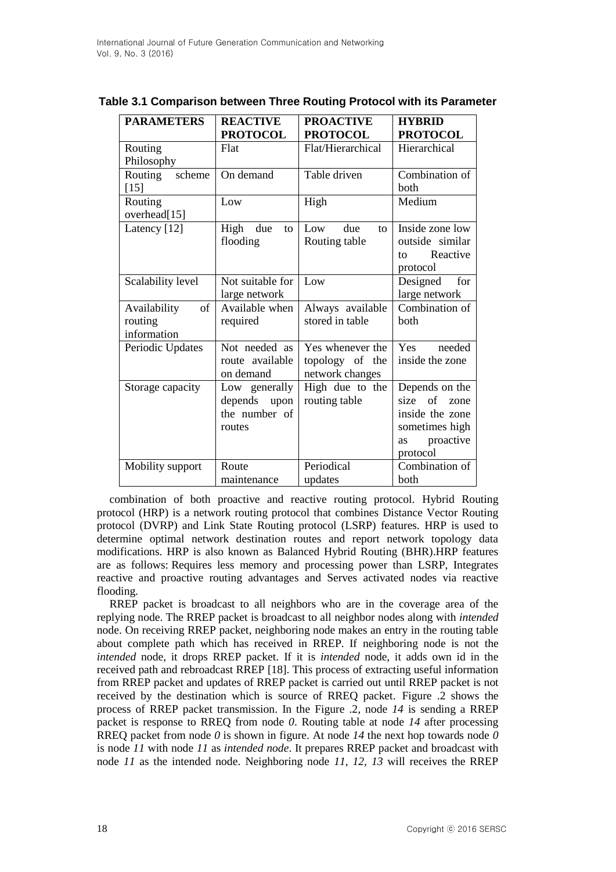| <b>PARAMETERS</b>             | <b>REACTIVE</b>   | <b>PROACTIVE</b>            | <b>HYBRID</b>        |
|-------------------------------|-------------------|-----------------------------|----------------------|
|                               | <b>PROTOCOL</b>   | <b>PROTOCOL</b>             | <b>PROTOCOL</b>      |
| Routing                       | Flat              | Flat/Hierarchical           | Hierarchical         |
| Philosophy                    |                   |                             |                      |
| Routing<br>scheme             | On demand         | Table driven                | Combination of       |
| $[15]$                        |                   |                             | hoth                 |
| Routing                       | Low               | High                        | Medium               |
| overhead[15]                  |                   |                             |                      |
| Latency [12]                  | High<br>due<br>to | due<br>Low<br>$\mathsf{to}$ | Inside zone low      |
|                               | flooding          | Routing table               | outside similar      |
|                               |                   |                             | Reactive<br>to       |
|                               |                   |                             | protocol             |
| Scalability level             | Not suitable for  | Low                         | Designed<br>for      |
|                               | large network     |                             | large network        |
| <sub>of</sub><br>Availability | Available when    | Always available            | Combination of       |
| routing                       | required          | stored in table             | both                 |
| information                   |                   |                             |                      |
| Periodic Updates              | Not needed as     | Yes whenever the            | <b>Yes</b><br>needed |
|                               | route available   | topology of the             | inside the zone      |
|                               | on demand         | network changes             |                      |
| Storage capacity              | Low generally     | High due to the             | Depends on the       |
|                               | depends<br>upon   | routing table               | size<br>of<br>zone   |
|                               | the number of     |                             | inside the zone      |
|                               | routes            |                             | sometimes high       |
|                               |                   |                             | proactive<br>as      |
|                               |                   |                             | protocol             |
| Mobility support              | Route             | Periodical                  | Combination of       |
|                               | maintenance       | updates                     | both                 |

### **Table 3.1 Comparison between Three Routing Protocol with its Parameter**

combination of both proactive and reactive routing protocol. Hybrid Routing protocol (HRP) is a network routing protocol that combines Distance Vector Routing protocol (DVRP) and Link State Routing protocol (LSRP) features. HRP is used to determine optimal network destination routes and report network topology data modifications. HRP is also known as Balanced Hybrid Routing (BHR).HRP features are as follows: Requires less memory and processing power than LSRP, Integrates reactive and proactive routing advantages and Serves activated nodes via reactive flooding.

RREP packet is broadcast to all neighbors who are in the coverage area of the replying node. The RREP packet is broadcast to all neighbor nodes along with *intended*  node. On receiving RREP packet, neighboring node makes an entry in the routing table about complete path which has received in RREP. If neighboring node is not the *intended* node, it drops RREP packet. If it is *intended* node, it adds own id in the received path and rebroadcast RREP [18]. This process of extracting useful information from RREP packet and updates of RREP packet is carried out until RREP packet is not received by the destination which is source of RREQ packet. Figure .2 shows the process of RREP packet transmission. In the Figure .2, node *14* is sending a RREP packet is response to RREQ from node *0*. Routing table at node *14* after processing RREQ packet from node *0* is shown in figure. At node *14* the next hop towards node *0*  is node *11* with node *11* as *intended node*. It prepares RREP packet and broadcast with node *11* as the intended node. Neighboring node *11, 12, 13* will receives the RREP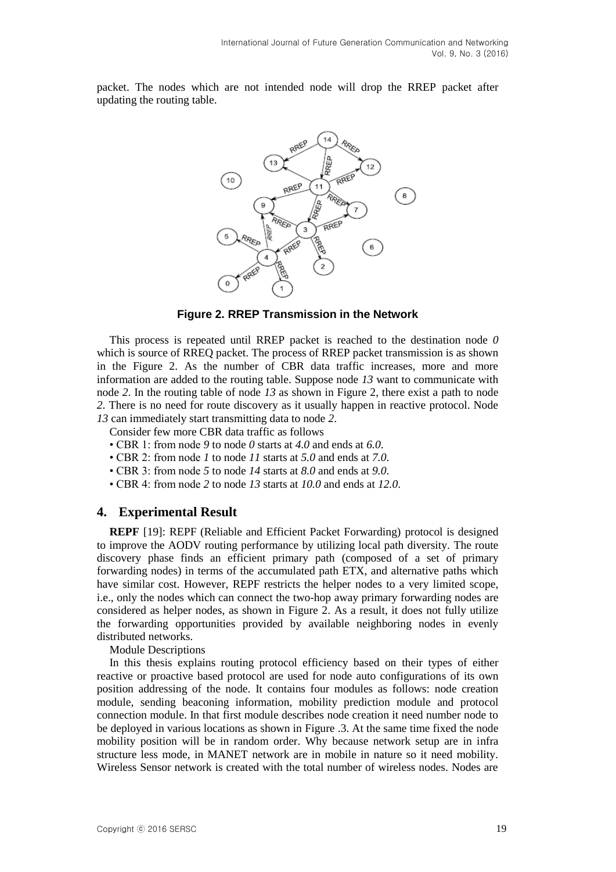packet. The nodes which are not intended node will drop the RREP packet after updating the routing table.



**Figure 2. RREP Transmission in the Network**

This process is repeated until RREP packet is reached to the destination node *0*  which is source of RREQ packet. The process of RREP packet transmission is as shown in the Figure 2. As the number of CBR data traffic increases, more and more information are added to the routing table. Suppose node *13* want to communicate with node *2*. In the routing table of node *13* as shown in Figure 2, there exist a path to node *2*. There is no need for route discovery as it usually happen in reactive protocol. Node *13* can immediately start transmitting data to node *2*.

Consider few more CBR data traffic as follows

- CBR 1: from node *9* to node *0* starts at *4.0* and ends at *6.0*.
- CBR 2: from node *1* to node *11* starts at *5.0* and ends at *7.0*.
- CBR 3: from node *5* to node *14* starts at *8.0* and ends at *9.0*.
- CBR 4: from node *2* to node *13* starts at *10.0* and ends at *12.0*.

# **4. Experimental Result**

**REPF** [19]: REPF (Reliable and Efficient Packet Forwarding) protocol is designed to improve the AODV routing performance by utilizing local path diversity. The route discovery phase finds an efficient primary path (composed of a set of primary forwarding nodes) in terms of the accumulated path ETX, and alternative paths which have similar cost. However, REPF restricts the helper nodes to a very limited scope, i.e., only the nodes which can connect the two-hop away primary forwarding nodes are considered as helper nodes, as shown in Figure 2. As a result, it does not fully utilize the forwarding opportunities provided by available neighboring nodes in evenly distributed networks.

Module Descriptions

In this thesis explains routing protocol efficiency based on their types of either reactive or proactive based protocol are used for node auto configurations of its own position addressing of the node. It contains four modules as follows: node creation module, sending beaconing information, mobility prediction module and protocol connection module. In that first module describes node creation it need number node to be deployed in various locations as shown in Figure .3. At the same time fixed the node mobility position will be in random order. Why because network setup are in infra structure less mode, in MANET network are in mobile in nature so it need mobility. Wireless Sensor network is created with the total number of wireless nodes. Nodes are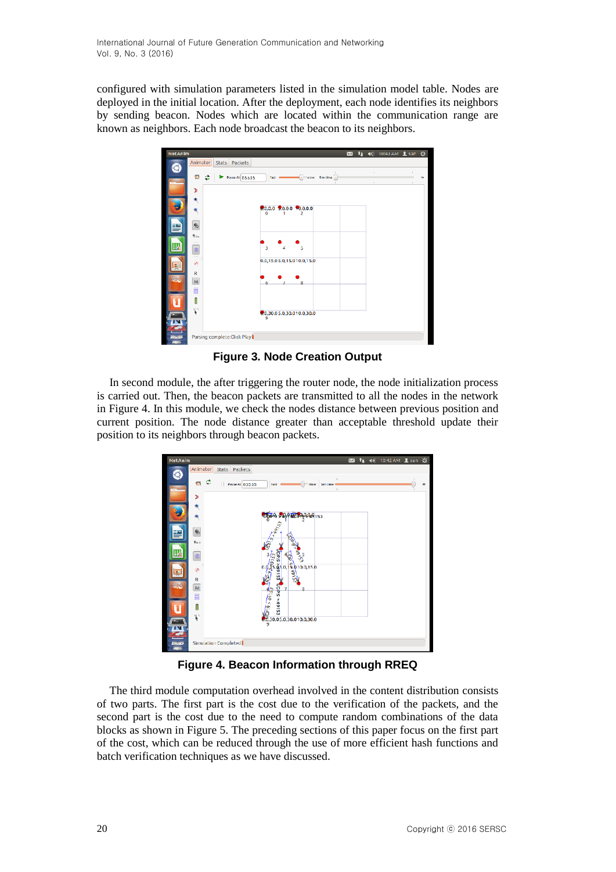configured with simulation parameters listed in the simulation model table. Nodes are deployed in the initial location. After the deployment, each node identifies its neighbors by sending beacon. Nodes which are located within the communication range are known as neighbors. Each node broadcast the beacon to its neighbors.



**Figure 3. Node Creation Output**

In second module, the after triggering the router node, the node initialization process is carried out. Then, the beacon packets are transmitted to all the nodes in the network in Figure 4. In this module, we check the nodes distance between previous position and current position. The node distance greater than acceptable threshold update their position to its neighbors through beacon packets.



**Figure 4. Beacon Information through RREQ**

The third module computation overhead involved in the content distribution consists of two parts. The first part is the cost due to the verification of the packets, and the second part is the cost due to the need to compute random combinations of the data blocks as shown in Figure 5. The preceding sections of this paper focus on the first part of the cost, which can be reduced through the use of more efficient hash functions and batch verification techniques as we have discussed.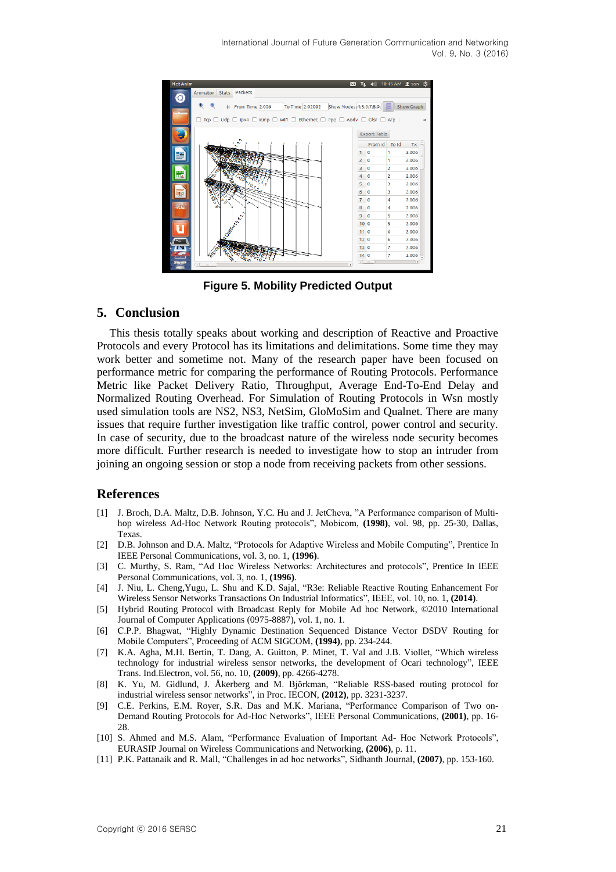

**Figure 5. Mobility Predicted Output**

# **5. Conclusion**

This thesis totally speaks about working and description of Reactive and Proactive Protocols and every Protocol has its limitations and delimitations. Some time they may work better and sometime not. Many of the research paper have been focused on performance metric for comparing the performance of Routing Protocols. Performance Metric like Packet Delivery Ratio, Throughput, Average End-To-End Delay and Normalized Routing Overhead. For Simulation of Routing Protocols in Wsn mostly used simulation tools are NS2, NS3, NetSim, GloMoSim and Qualnet. There are many issues that require further investigation like traffic control, power control and security. In case of security, due to the broadcast nature of the wireless node security becomes more difficult. Further research is needed to investigate how to stop an intruder from joining an ongoing session or stop a node from receiving packets from other sessions.

# **References**

- [1] J. Broch, D.A. Maltz, D.B. Johnson, Y.C. Hu and J. JetCheva, "A Performance comparison of Multihop wireless Ad-Hoc Network Routing protocols", Mobicom, **(1998)**, vol. 98, pp. 25-30, Dallas, Texas.
- [2] D.B. Johnson and D.A. Maltz, "Protocols for Adaptive Wireless and Mobile Computing", Prentice In IEEE Personal Communications, vol. 3, no. 1, **(1996)**.
- [3] C. Murthy, S. Ram, "Ad Hoc Wireless Networks: Architectures and protocols", Prentice In IEEE Personal Communications, vol. 3, no. 1, **(1996)**.
- [4] J. Niu, L. Cheng,Yugu, L. Shu and K.D. Sajal, "R3e: Reliable Reactive Routing Enhancement For Wireless Sensor Networks Transactions On Industrial Informatics", IEEE, vol. 10, no. 1, **(2014)**.
- [5] Hybrid Routing Protocol with Broadcast Reply for Mobile Ad hoc Network, ©2010 International Journal of Computer Applications (0975-8887), vol. 1, no. 1.
- [6] C.P.P. Bhagwat, "Highly Dynamic Destination Sequenced Distance Vector DSDV Routing for Mobile Computers", Proceeding of ACM SIGCOM, **(1994)**, pp. 234-244.
- [7] K.A. Agha, M.H. Bertin, T. Dang, A. Guitton, P. Minet, T. Val and J.B. Viollet, "Which wireless technology for industrial wireless sensor networks, the development of Ocari technology", IEEE Trans. Ind.Electron, vol. 56, no. 10, **(2009)**, pp. 4266-4278.
- [8] K. Yu, M. Gidlund, J. Åkerberg and M. Björkman, "Reliable RSS-based routing protocol for industrial wireless sensor networks", in Proc. IECON, **(2012)**, pp. 3231-3237.
- [9] C.E. Perkins, E.M. Royer, S.R. Das and M.K. Mariana, "Performance Comparison of Two on-Demand Routing Protocols for Ad-Hoc Networks", IEEE Personal Communications, **(2001)**, pp. 16- 28.
- [10] S. Ahmed and M.S. Alam, "Performance Evaluation of Important Ad- Hoc Network Protocols", EURASIP Journal on Wireless Communications and Networking, **(2006)**, p. 11.
- [11] P.K. Pattanaik and R. Mall, "Challenges in ad hoc networks", Sidhanth Journal, **(2007)**, pp. 153-160.